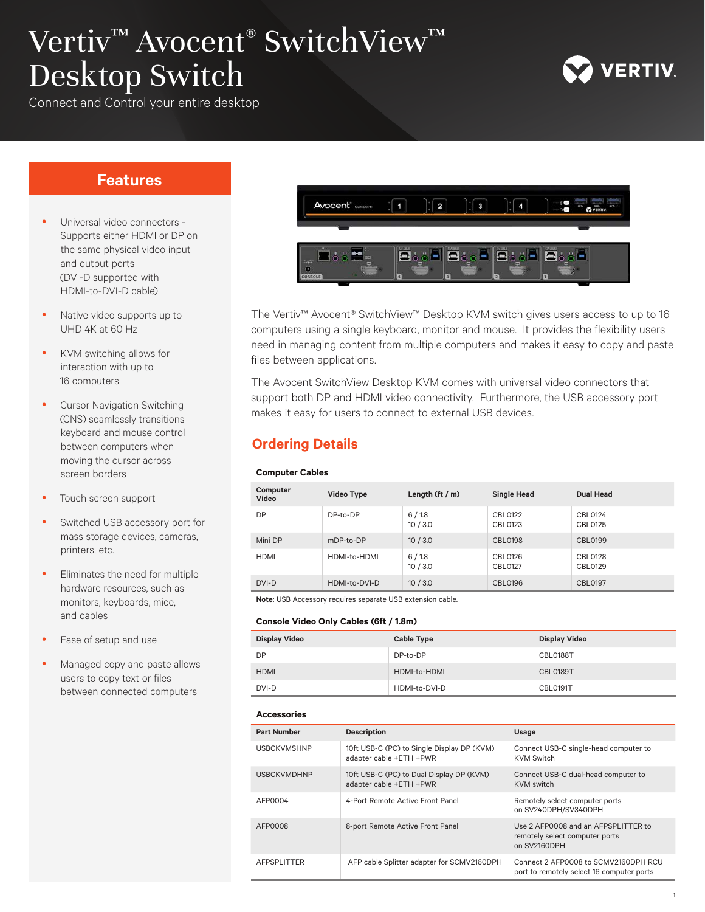# Vertiv™ Avocent® SwitchView™ Desktop Switch



Connect and Control your entire desktop

## **Features**

- Universal video connectors -Supports either HDMI or DP on the same physical video input and output ports (DVI-D supported with HDMI-to-DVI-D cable)
- Native video supports up to UHD 4K at 60 Hz
- KVM switching allows for interaction with up to 16 computers
- **Cursor Navigation Switching** (CNS) seamlessly transitions keyboard and mouse control between computers when moving the cursor across screen borders
- Touch screen support
- Switched USB accessory port for mass storage devices, cameras, printers, etc.
- Eliminates the need for multiple hardware resources, such as monitors, keyboards, mice, and cables
- Ease of setup and use
- Managed copy and paste allows users to copy text or files between connected computers



The Vertiv™ Avocent® SwitchView™ Desktop KVM switch gives users access to up to 16 computers using a single keyboard, monitor and mouse. It provides the flexibility users need in managing content from multiple computers and makes it easy to copy and paste files between applications.

The Avocent SwitchView Desktop KVM comes with universal video connectors that support both DP and HDMI video connectivity. Furthermore, the USB accessory port makes it easy for users to connect to external USB devices.

# **Ordering Details**

#### **Computer Cables**

| Computer<br>Video | Video Type    | Length $(\text{ft}/\text{m})$ | <b>Single Head</b> | <b>Dual Head</b>   |
|-------------------|---------------|-------------------------------|--------------------|--------------------|
| DP                | DP-to-DP      | 6/1.8<br>10/3.0               | CBL0122<br>CBL0123 | CBL0124<br>CBL0125 |
| Mini DP           | mDP-to-DP     | 10/3.0                        | <b>CBL0198</b>     | CBL0199            |
| <b>HDMI</b>       | HDMI-to-HDMI  | 6/1.8<br>10/3.0               | CBL0126<br>CBL0127 | CBL0128<br>CBL0129 |
| DVI-D             | HDMI-to-DVI-D | 10/3.0                        | <b>CBL0196</b>     | CBL0197            |

**Note:** USB Accessory requires separate USB extension cable.

#### **Console Video Only Cables (6ft / 1.8m)**

| <b>Display Video</b> | <b>Cable Type</b> | <b>Display Video</b> |
|----------------------|-------------------|----------------------|
| DP                   | DP-to-DP          | CBL0188T             |
| <b>HDMI</b>          | HDMI-to-HDMI      | <b>CBL0189T</b>      |
| DVI-D                | HDMI-to-DVI-D     | <b>CBL0191T</b>      |

#### **Accessories**

| <b>Part Number</b> | <b>Description</b>                                                    | Usage                                                                                 |
|--------------------|-----------------------------------------------------------------------|---------------------------------------------------------------------------------------|
| <b>USBCKVMSHNP</b> | 10ft USB-C (PC) to Single Display DP (KVM)<br>adapter cable +ETH +PWR | Connect USB-C single-head computer to<br><b>KVM Switch</b>                            |
| <b>USBCKVMDHNP</b> | 10ft USB-C (PC) to Dual Display DP (KVM)<br>adapter cable +ETH +PWR   | Connect USB-C dual-head computer to<br><b>KVM</b> switch                              |
| AFP0004            | 4-Port Remote Active Front Panel                                      | Remotely select computer ports<br>on SV240DPH/SV340DPH                                |
| AFP0008            | 8-port Remote Active Front Panel                                      | Use 2 AFP0008 and an AFPSPLITTER to<br>remotely select computer ports<br>on SV2160DPH |
| <b>AFPSPLITTER</b> | AFP cable Splitter adapter for SCMV2160DPH                            | Connect 2 AFP0008 to SCMV2160DPH RCU<br>port to remotely select 16 computer ports     |